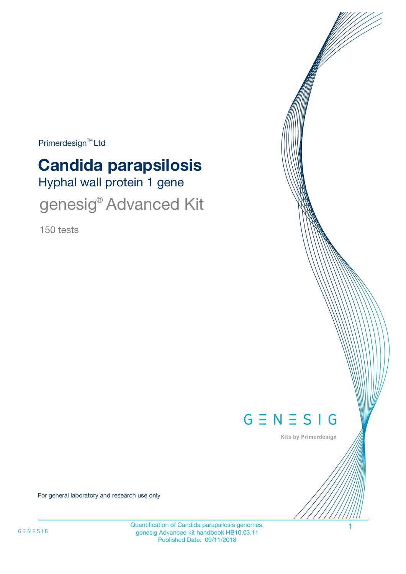Primerdesign<sup>™</sup>Ltd

# Hyphal wall protein 1 gene **Candida parapsilosis**

genesig® Advanced Kit

150 tests



Kits by Primerdesign

For general laboratory and research use only

Quantification of Candida parapsilosis genomes. 1 genesig Advanced kit handbook HB10.03.11 Published Date: 09/11/2018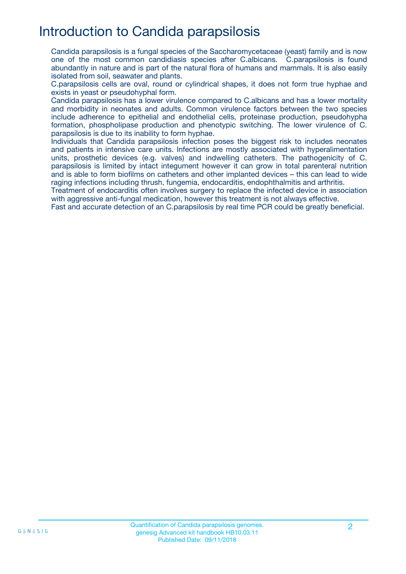## Introduction to Candida parapsilosis

Candida parapsilosis is a fungal species of the Saccharomycetaceae (yeast) family and is now one of the most common candidiasis species after C.albicans. C.parapsilosis is found abundantly in nature and is part of the natural flora of humans and mammals. It is also easily isolated from soil, seawater and plants.

C.parapsilosis cells are oval, round or cylindrical shapes, it does not form true hyphae and exists in yeast or pseudohyphal form.

Candida parapsilosis has a lower virulence compared to C.albicans and has a lower mortality and morbidity in neonates and adults. Common virulence factors between the two species include adherence to epithelial and endothelial cells, proteinase production, pseudohypha formation, phospholipase production and phenotypic switching. The lower virulence of C. parapsilosis is due to its inability to form hyphae.

Individuals that Candida parapsilosis infection poses the biggest risk to includes neonates and patients in intensive care units. Infections are mostly associated with hyperalimentation units, prosthetic devices (e.g. valves) and indwelling catheters. The pathogenicity of C. parapsilosis is limited by intact integument however it can grow in total parenteral nutrition and is able to form biofilms on catheters and other implanted devices – this can lead to wide raging infections including thrush, fungemia, endocarditis, endophthalmitis and arthritis.

Treatment of endocarditis often involves surgery to replace the infected device in association with aggressive anti-fungal medication, however this treatment is not always effective.

Fast and accurate detection of an C.parapsilosis by real time PCR could be greatly beneficial.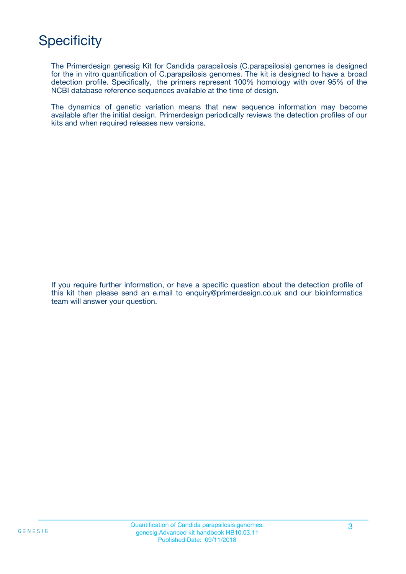## **Specificity**

The Primerdesign genesig Kit for Candida parapsilosis (C.parapsilosis) genomes is designed for the in vitro quantification of C.parapsilosis genomes. The kit is designed to have a broad detection profile. Specifically, the primers represent 100% homology with over 95% of the NCBI database reference sequences available at the time of design.

The dynamics of genetic variation means that new sequence information may become available after the initial design. Primerdesign periodically reviews the detection profiles of our kits and when required releases new versions.

If you require further information, or have a specific question about the detection profile of this kit then please send an e.mail to enquiry@primerdesign.co.uk and our bioinformatics team will answer your question.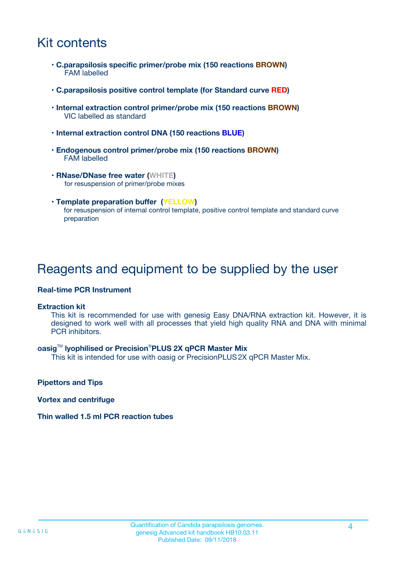## Kit contents

- **C.parapsilosis specific primer/probe mix (150 reactions BROWN)** FAM labelled
- **C.parapsilosis positive control template (for Standard curve RED)**
- **Internal extraction control primer/probe mix (150 reactions BROWN)** VIC labelled as standard
- **Internal extraction control DNA (150 reactions BLUE)**
- **Endogenous control primer/probe mix (150 reactions BROWN)** FAM labelled
- **RNase/DNase free water (WHITE)** for resuspension of primer/probe mixes
- **Template preparation buffer (YELLOW)** for resuspension of internal control template, positive control template and standard curve preparation

### Reagents and equipment to be supplied by the user

#### **Real-time PCR Instrument**

#### **Extraction kit**

This kit is recommended for use with genesig Easy DNA/RNA extraction kit. However, it is designed to work well with all processes that yield high quality RNA and DNA with minimal PCR inhibitors.

#### **oasig**TM **lyophilised or Precision**®**PLUS 2X qPCR Master Mix**

This kit is intended for use with oasig or PrecisionPLUS2X qPCR Master Mix.

**Pipettors and Tips**

**Vortex and centrifuge**

#### **Thin walled 1.5 ml PCR reaction tubes**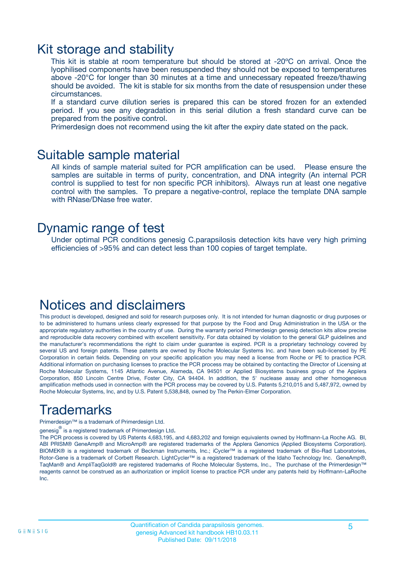### Kit storage and stability

This kit is stable at room temperature but should be stored at -20ºC on arrival. Once the lyophilised components have been resuspended they should not be exposed to temperatures above -20°C for longer than 30 minutes at a time and unnecessary repeated freeze/thawing should be avoided. The kit is stable for six months from the date of resuspension under these circumstances.

If a standard curve dilution series is prepared this can be stored frozen for an extended period. If you see any degradation in this serial dilution a fresh standard curve can be prepared from the positive control.

Primerdesign does not recommend using the kit after the expiry date stated on the pack.

### Suitable sample material

All kinds of sample material suited for PCR amplification can be used. Please ensure the samples are suitable in terms of purity, concentration, and DNA integrity (An internal PCR control is supplied to test for non specific PCR inhibitors). Always run at least one negative control with the samples. To prepare a negative-control, replace the template DNA sample with RNase/DNase free water.

### Dynamic range of test

Under optimal PCR conditions genesig C.parapsilosis detection kits have very high priming efficiencies of >95% and can detect less than 100 copies of target template.

### Notices and disclaimers

This product is developed, designed and sold for research purposes only. It is not intended for human diagnostic or drug purposes or to be administered to humans unless clearly expressed for that purpose by the Food and Drug Administration in the USA or the appropriate regulatory authorities in the country of use. During the warranty period Primerdesign genesig detection kits allow precise and reproducible data recovery combined with excellent sensitivity. For data obtained by violation to the general GLP guidelines and the manufacturer's recommendations the right to claim under guarantee is expired. PCR is a proprietary technology covered by several US and foreign patents. These patents are owned by Roche Molecular Systems Inc. and have been sub-licensed by PE Corporation in certain fields. Depending on your specific application you may need a license from Roche or PE to practice PCR. Additional information on purchasing licenses to practice the PCR process may be obtained by contacting the Director of Licensing at Roche Molecular Systems, 1145 Atlantic Avenue, Alameda, CA 94501 or Applied Biosystems business group of the Applera Corporation, 850 Lincoln Centre Drive, Foster City, CA 94404. In addition, the 5' nuclease assay and other homogeneous amplification methods used in connection with the PCR process may be covered by U.S. Patents 5,210,015 and 5,487,972, owned by Roche Molecular Systems, Inc, and by U.S. Patent 5,538,848, owned by The Perkin-Elmer Corporation.

## Trademarks

Primerdesign™ is a trademark of Primerdesign Ltd.

genesig $^\circledR$  is a registered trademark of Primerdesign Ltd.

The PCR process is covered by US Patents 4,683,195, and 4,683,202 and foreign equivalents owned by Hoffmann-La Roche AG. BI, ABI PRISM® GeneAmp® and MicroAmp® are registered trademarks of the Applera Genomics (Applied Biosystems Corporation). BIOMEK® is a registered trademark of Beckman Instruments, Inc.; iCycler™ is a registered trademark of Bio-Rad Laboratories, Rotor-Gene is a trademark of Corbett Research. LightCycler™ is a registered trademark of the Idaho Technology Inc. GeneAmp®, TaqMan® and AmpliTaqGold® are registered trademarks of Roche Molecular Systems, Inc., The purchase of the Primerdesign™ reagents cannot be construed as an authorization or implicit license to practice PCR under any patents held by Hoffmann-LaRoche Inc.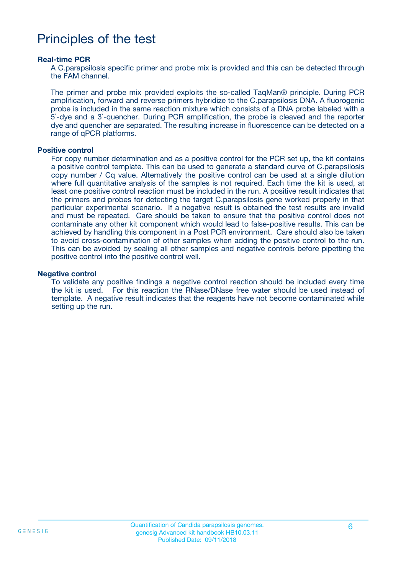## Principles of the test

#### **Real-time PCR**

A C.parapsilosis specific primer and probe mix is provided and this can be detected through the FAM channel.

The primer and probe mix provided exploits the so-called TaqMan® principle. During PCR amplification, forward and reverse primers hybridize to the C.parapsilosis DNA. A fluorogenic probe is included in the same reaction mixture which consists of a DNA probe labeled with a 5`-dye and a 3`-quencher. During PCR amplification, the probe is cleaved and the reporter dye and quencher are separated. The resulting increase in fluorescence can be detected on a range of qPCR platforms.

#### **Positive control**

For copy number determination and as a positive control for the PCR set up, the kit contains a positive control template. This can be used to generate a standard curve of C.parapsilosis copy number / Cq value. Alternatively the positive control can be used at a single dilution where full quantitative analysis of the samples is not required. Each time the kit is used, at least one positive control reaction must be included in the run. A positive result indicates that the primers and probes for detecting the target C.parapsilosis gene worked properly in that particular experimental scenario. If a negative result is obtained the test results are invalid and must be repeated. Care should be taken to ensure that the positive control does not contaminate any other kit component which would lead to false-positive results. This can be achieved by handling this component in a Post PCR environment. Care should also be taken to avoid cross-contamination of other samples when adding the positive control to the run. This can be avoided by sealing all other samples and negative controls before pipetting the positive control into the positive control well.

#### **Negative control**

To validate any positive findings a negative control reaction should be included every time the kit is used. For this reaction the RNase/DNase free water should be used instead of template. A negative result indicates that the reagents have not become contaminated while setting up the run.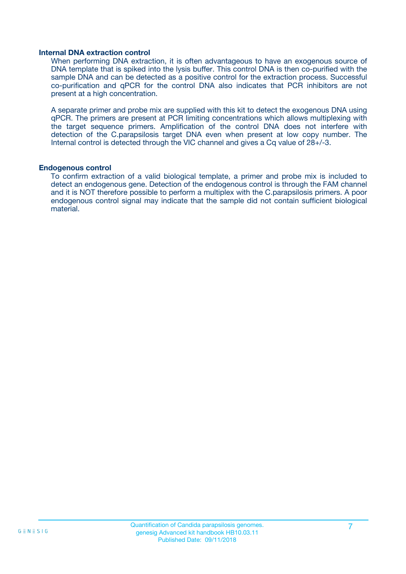#### **Internal DNA extraction control**

When performing DNA extraction, it is often advantageous to have an exogenous source of DNA template that is spiked into the lysis buffer. This control DNA is then co-purified with the sample DNA and can be detected as a positive control for the extraction process. Successful co-purification and qPCR for the control DNA also indicates that PCR inhibitors are not present at a high concentration.

A separate primer and probe mix are supplied with this kit to detect the exogenous DNA using qPCR. The primers are present at PCR limiting concentrations which allows multiplexing with the target sequence primers. Amplification of the control DNA does not interfere with detection of the C.parapsilosis target DNA even when present at low copy number. The Internal control is detected through the VIC channel and gives a Cq value of 28+/-3.

#### **Endogenous control**

To confirm extraction of a valid biological template, a primer and probe mix is included to detect an endogenous gene. Detection of the endogenous control is through the FAM channel and it is NOT therefore possible to perform a multiplex with the C.parapsilosis primers. A poor endogenous control signal may indicate that the sample did not contain sufficient biological material.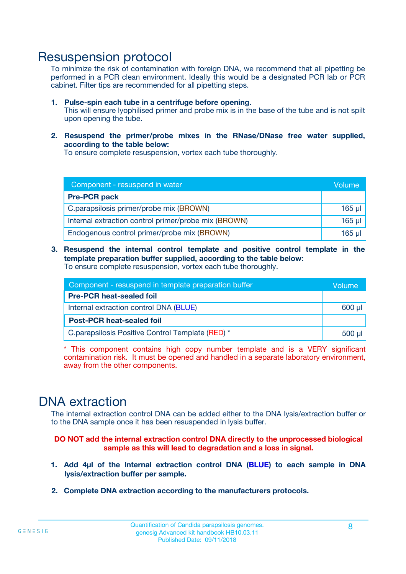### Resuspension protocol

To minimize the risk of contamination with foreign DNA, we recommend that all pipetting be performed in a PCR clean environment. Ideally this would be a designated PCR lab or PCR cabinet. Filter tips are recommended for all pipetting steps.

- **1. Pulse-spin each tube in a centrifuge before opening.** This will ensure lyophilised primer and probe mix is in the base of the tube and is not spilt upon opening the tube.
- **2. Resuspend the primer/probe mixes in the RNase/DNase free water supplied, according to the table below:**

To ensure complete resuspension, vortex each tube thoroughly.

| Component - resuspend in water                       |             |  |
|------------------------------------------------------|-------------|--|
| <b>Pre-PCR pack</b>                                  |             |  |
| C.parapsilosis primer/probe mix (BROWN)              | $165$ µl    |  |
| Internal extraction control primer/probe mix (BROWN) | $165$ $\mu$ |  |
| Endogenous control primer/probe mix (BROWN)          | 165 µl      |  |

**3. Resuspend the internal control template and positive control template in the template preparation buffer supplied, according to the table below:** To ensure complete resuspension, vortex each tube thoroughly.

| Component - resuspend in template preparation buffer |  |  |
|------------------------------------------------------|--|--|
| <b>Pre-PCR heat-sealed foil</b>                      |  |  |
| Internal extraction control DNA (BLUE)               |  |  |
| <b>Post-PCR heat-sealed foil</b>                     |  |  |
| C. parapsilosis Positive Control Template (RED) *    |  |  |

\* This component contains high copy number template and is a VERY significant contamination risk. It must be opened and handled in a separate laboratory environment, away from the other components.

### DNA extraction

The internal extraction control DNA can be added either to the DNA lysis/extraction buffer or to the DNA sample once it has been resuspended in lysis buffer.

**DO NOT add the internal extraction control DNA directly to the unprocessed biological sample as this will lead to degradation and a loss in signal.**

- **1. Add 4µl of the Internal extraction control DNA (BLUE) to each sample in DNA lysis/extraction buffer per sample.**
- **2. Complete DNA extraction according to the manufacturers protocols.**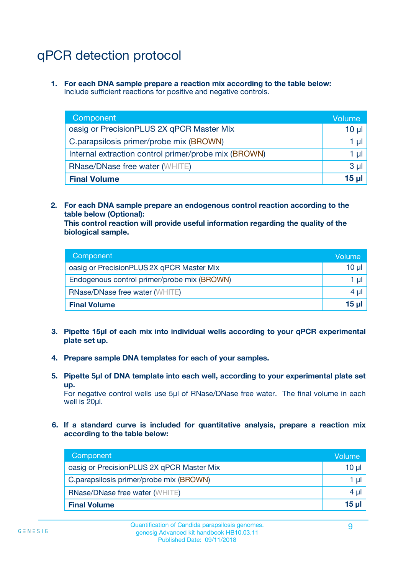## qPCR detection protocol

**1. For each DNA sample prepare a reaction mix according to the table below:** Include sufficient reactions for positive and negative controls.

| Component                                            | Volume   |
|------------------------------------------------------|----------|
| oasig or PrecisionPLUS 2X qPCR Master Mix            | $10 \mu$ |
| C.parapsilosis primer/probe mix (BROWN)              | 1 µI     |
| Internal extraction control primer/probe mix (BROWN) | 1 µl     |
| <b>RNase/DNase free water (WHITE)</b>                | $3 \mu$  |
| <b>Final Volume</b>                                  | 15 µl    |

**2. For each DNA sample prepare an endogenous control reaction according to the table below (Optional):**

**This control reaction will provide useful information regarding the quality of the biological sample.**

| Component                                   | Volume   |
|---------------------------------------------|----------|
| oasig or PrecisionPLUS 2X qPCR Master Mix   | $10 \mu$ |
| Endogenous control primer/probe mix (BROWN) | 1 µI     |
| <b>RNase/DNase free water (WHITE)</b>       | $4 \mu$  |
| <b>Final Volume</b>                         | 15 µl    |

- **3. Pipette 15µl of each mix into individual wells according to your qPCR experimental plate set up.**
- **4. Prepare sample DNA templates for each of your samples.**
- **5. Pipette 5µl of DNA template into each well, according to your experimental plate set up.**

For negative control wells use 5µl of RNase/DNase free water. The final volume in each well is 20ul.

**6. If a standard curve is included for quantitative analysis, prepare a reaction mix according to the table below:**

| Component                                 | Volume   |
|-------------------------------------------|----------|
| oasig or PrecisionPLUS 2X qPCR Master Mix | $10 \mu$ |
| C.parapsilosis primer/probe mix (BROWN)   | 1 µI -   |
| <b>RNase/DNase free water (WHITE)</b>     | 4 µl     |
| <b>Final Volume</b>                       | 15 µl    |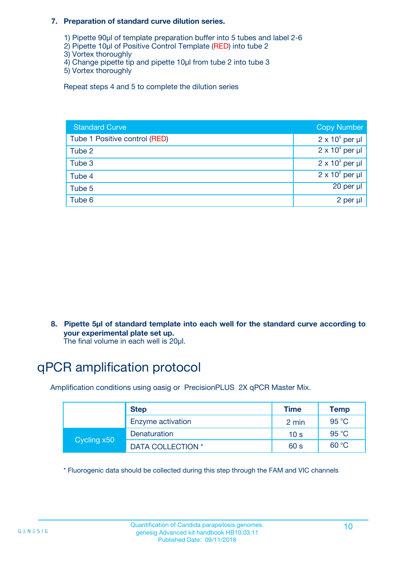#### **7. Preparation of standard curve dilution series.**

- 1) Pipette 90µl of template preparation buffer into 5 tubes and label 2-6
- 2) Pipette 10µl of Positive Control Template (RED) into tube 2
- 3) Vortex thoroughly
- 4) Change pipette tip and pipette 10µl from tube 2 into tube 3
- 5) Vortex thoroughly

Repeat steps 4 and 5 to complete the dilution series

| <b>Standard Curve</b>         | <b>Copy Number</b>     |
|-------------------------------|------------------------|
| Tube 1 Positive control (RED) | $2 \times 10^5$ per µl |
| Tube 2                        | $2 \times 10^4$ per µl |
| Tube 3                        | $2 \times 10^3$ per µl |
| Tube 4                        | $2 \times 10^2$ per µl |
| Tube 5                        | $20$ per $\mu$         |
| Tube 6                        | 2 per µl               |

**8. Pipette 5µl of standard template into each well for the standard curve according to your experimental plate set up.**

#### The final volume in each well is 20µl.

## qPCR amplification protocol

Amplification conditions using oasig or PrecisionPLUS 2X qPCR Master Mix.

|             | <b>Step</b>       | <b>Time</b>     | Temp    |
|-------------|-------------------|-----------------|---------|
|             | Enzyme activation | 2 min           | 95 °C   |
| Cycling x50 | Denaturation      | 10 <sub>s</sub> | 95 $°C$ |
|             | DATA COLLECTION * | 60 s            | 60 °C   |

\* Fluorogenic data should be collected during this step through the FAM and VIC channels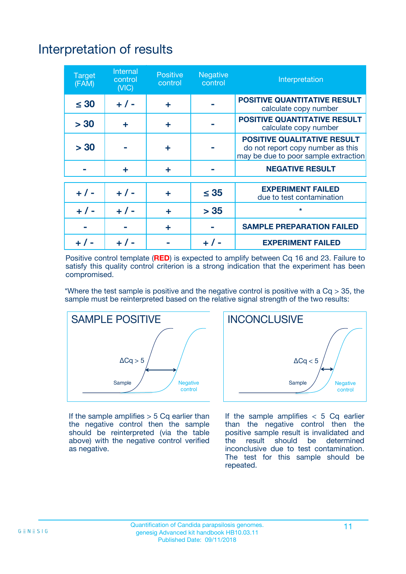# Interpretation of results

| <b>Target</b><br>(FAM) | <b>Internal</b><br>control<br>(NIC) | <b>Positive</b><br>control | <b>Negative</b><br>control | Interpretation                                                                                                  |
|------------------------|-------------------------------------|----------------------------|----------------------------|-----------------------------------------------------------------------------------------------------------------|
| $\leq 30$              | $+ 1 -$                             | ÷                          |                            | <b>POSITIVE QUANTITATIVE RESULT</b><br>calculate copy number                                                    |
| > 30                   | ٠                                   | ÷                          |                            | <b>POSITIVE QUANTITATIVE RESULT</b><br>calculate copy number                                                    |
| > 30                   |                                     | ÷                          |                            | <b>POSITIVE QUALITATIVE RESULT</b><br>do not report copy number as this<br>may be due to poor sample extraction |
|                        | ÷                                   | ÷                          |                            | <b>NEGATIVE RESULT</b>                                                                                          |
| $+ 1 -$                | $+ 1 -$                             | ÷                          | $\leq$ 35                  | <b>EXPERIMENT FAILED</b><br>due to test contamination                                                           |
| $+$ / -                | $+ 1 -$                             | ÷                          | > 35                       | $\star$                                                                                                         |
|                        |                                     | ÷                          |                            | <b>SAMPLE PREPARATION FAILED</b>                                                                                |
|                        |                                     |                            | $+$ /                      | <b>EXPERIMENT FAILED</b>                                                                                        |

Positive control template (**RED**) is expected to amplify between Cq 16 and 23. Failure to satisfy this quality control criterion is a strong indication that the experiment has been compromised.

\*Where the test sample is positive and the negative control is positive with a  $Ca > 35$ , the sample must be reinterpreted based on the relative signal strength of the two results:



If the sample amplifies  $> 5$  Cq earlier than the negative control then the sample should be reinterpreted (via the table above) with the negative control verified as negative.



If the sample amplifies  $< 5$  Cq earlier than the negative control then the positive sample result is invalidated and<br>the result should be determined  $the$  result should be inconclusive due to test contamination. The test for this sample should be repeated.